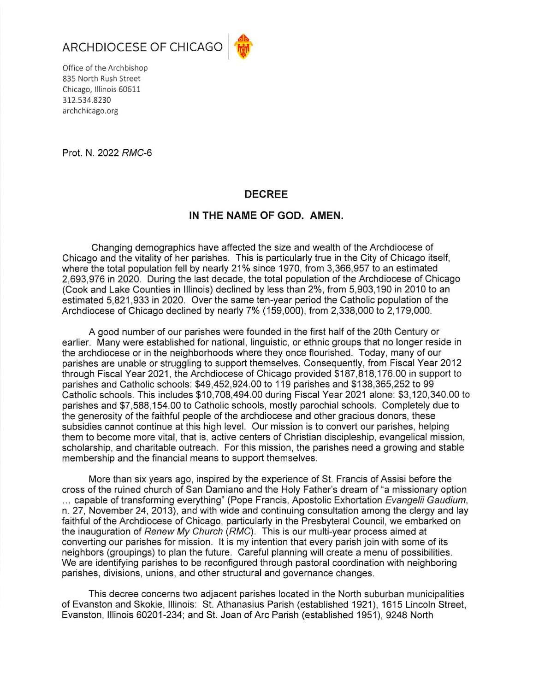



Office of the Archbishop 835 North Rush Street Chicago, Illinois 60611 312.534.8230 archchicago.org

Prot. N. 2022 RMC-6

## **DECREE**

## IN THE NAME OF GOD. AMEN.

Changing demographics have affected the size and wealth of the Archdiocese of Chicago and the vitality of her parishes. This is particularly true in the City of Chicago itself, where the total population fell by nearly 21% since 1970, from 3,366,957 to an estimated 2,693,976 in 2020. During the last decade, the total population of the Archdiocese of Chicago (Cook and Lake Counties in Illinois) declined by less than 2%, from 5,903,190 in 2010 to an estimated 5,821,933 in 2020. Over the same ten-year period the Catholic population of the Archdiocese of Chicago declined by nearly 7% (159,000), from 2,338,000 to 2,179,000.

A good number of our parishes were founded in the first half of the 20th Century or earlier. Many were established for national, linguistic, or ethnic groups that no longer reside in the archdiocese or in the neighborhoods where they once flourished. Today, many of our parishes are unable or struggling to support themselves. Consequently, from Fiscal Year 2012 through Fiscal Year 2021, the Archdiocese of Chicago provided \$187,818,176,00 in support to parishes and Catholic schools: \$49,452,924.00 to 119 parishes and \$138,365,252 to 99 Catholic schools. This includes \$10,708,494.00 during Fiscal Year 2021 alone: \$3,120,340.00 to parishes and \$7,588,154.00 to Catholic schools, mostly parochial schools. Completely due to the generosity of the faithful people of the archdiocese and other gracious donors, these subsidies cannot continue at this high level. Our mission is to convert our parishes, helping them to become more vital, that is, active centers of Christian discipleship, evangelical mission, scholarship, and charitable outreach. For this mission, the parishes need a growing and stable membership and the financial means to support themselves.

More than six years ago, inspired by the experience of St. Francis of Assisi before the cross of the ruined church of San Damiano and the Holy Father's dream of "a missionary option ... capable of transforming everything" (Pope Francis, Apostolic Exhortation Evangelii Gaudium, n. 27, November 24, 2013), and with wide and continuing consultation among the clergy and lay faithful of the Archdiocese of Chicago, particularly in the Presbyteral Council, we embarked on the inauguration of Renew My Church (RMC). This is our multi-year process aimed at converting our parishes for mission. It is my intention that every parish join with some of its neighbors (groupings) to plan the future. Careful planning will create a menu of possibilities. We are identifying parishes to be reconfigured through pastoral coordination with neighboring parishes, divisions, unions, and other structural and governance changes.

This decree concerns two adjacent parishes located in the North suburban municipalities of Evanston and Skokie, Illinois: St. Athanasius Parish (established 1921), 1615 Lincoln Street, Evanston, Illinois 60201-234; and St. Joan of Arc Parish (established 1951), 9248 North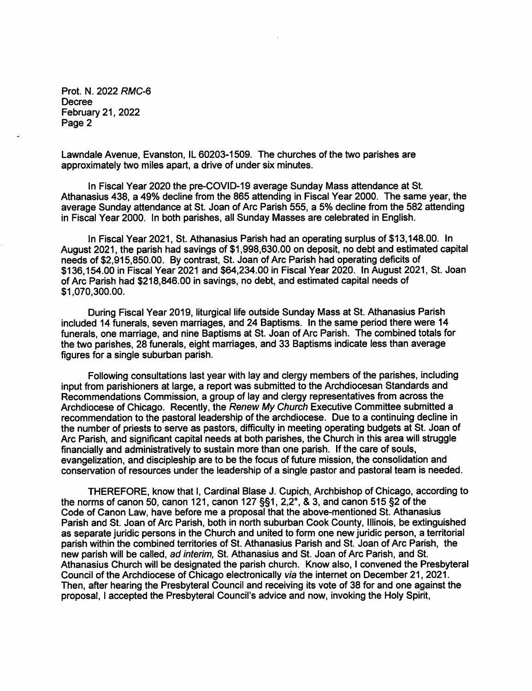Prot. N. 2022 RMC-6 **Decree** February 21, 2022 Page 2

Lawndale Avenue, Evanston, IL 60203-1509. The churches of the two parishes are approximately two miles apart, a drive of under six minutes.

In Fiscal Year 2020 the pre-COVID-19 average Sunday Mass attendance at St. Athanasius 438, a 49% decline from the 865 attending in Fiscal Year 2000. The same year, the average Sunday attendance at St. Joan of Arc Parish 555, a 5% decline from the 582 attending in Fiscal Year 2000. In both parishes, all Sunday Masses are celebrated in English.

In Fiscal Year 2021, St. Athanasius Parish had an operating surplus of \$13,148.00. In August 2021, the parish had savings of \$1,998,630.00 on deposit, no debt and estimated capital needs of \$2,915,850.00. By contrast, St. Joan of Arc Parish had operating deficits of \$136,154.00 in Fiscal Year 2021 and \$64,234.00 in Fiscal Year 2020. In August 2021, St. Joan of Arc Parish had \$218,846,00 in savings, no debt, and estimated capital needs of \$1,070,300.00.

During Fiscal Year 2019, liturgical life outside Sunday Mass at St. Athanasius Parish included 14 funerals, seven marriages, and 24 Baptisms. In the same period there were 14 funerals, one marriage, and nine Baptisms at St. Joan of Arc Parish. The combined totals for the two parishes, 28 funerals, eight marriages, and 33 Baptisms indicate less than average figures for a single suburban parish.

Following consultations last year with lay and clergy members of the parishes, including input from parishioners at large, a report was submitted to the Archdiocesan Standards and Recommendations Commission, a group of lay and clergy representatives from across the Archdiocese of Chicago. Recently, the Renew My Church Executive Committee submitted a recommendation to the pastoral leadership of the archdiocese. Due to a continuing decline in the number of priests to serve as pastors, difficulty in meeting operating budgets at St. Joan of Arc Parish, and significant capital needs at both parishes, the Church in this area will struggle financially and administratively to sustain more than one parish. If the care of souls. evangelization, and discipleship are to be the focus of future mission, the consolidation and conservation of resources under the leadership of a single pastor and pastoral team is needed.

THEREFORE, know that I, Cardinal Blase J. Cupich, Archbishop of Chicago, according to the norms of canon 50, canon 121, canon 127  $\S$ 51, 2, 2°, & 3, and canon 515  $\S$ 2 of the Code of Canon Law, have before me a proposal that the above-mentioned St. Athanasius Parish and St. Joan of Arc Parish, both in north suburban Cook County, Illinois, be extinguished as separate juridic persons in the Church and united to form one new juridic person, a territorial parish within the combined territories of St. Athanasius Parish and St. Joan of Arc Parish, the new parish will be called, ad interim, St. Athanasius and St. Joan of Arc Parish, and St. Athanasius Church will be designated the parish church. Know also, I convened the Presbyteral Council of the Archdiocese of Chicago electronically via the internet on December 21, 2021. Then, after hearing the Presbyteral Council and receiving its vote of 38 for and one against the proposal, I accepted the Presbyteral Council's advice and now, invoking the Holy Spirit,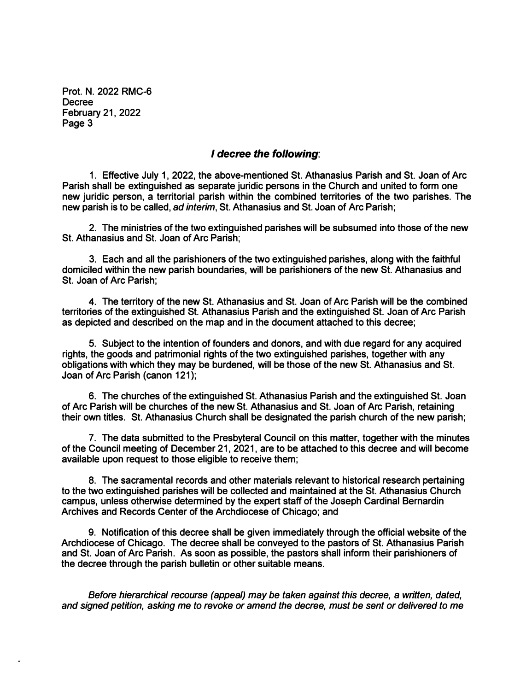**Prot. N. 2022 RMC-6 Decree February 21, 2022 Page 3** 

## *I decree the following:*

**1. Effective July 1, 2022, the above-mentioned St. Athanasius Parish and St. Joan of Arc Parish shall be extinguished as separate juridic persons in the Church and united to form one new juridic person, a territorial parish within the combined territories of the two parishes. The new parish is to be called,** *ad interim,* **St. Athanasius and St. Joan of Arc Parish;** 

**2. The ministries of the two extinguished parishes will be subsumed into those of the new St. Athanasius and St. Joan of Arc Parish;** 

**3. Each and all the parishioners of the two extinguished parishes, along with the faithful domiciled within the new parish boundaries, will be parishioners of the new St. Athanasius and St. Joan of Arc Parish;** 

**4. The territory of the new St. Athanasius and St. Joan of Arc Parish will be the combined territories of the extinguished St. Athanasius Parish and the extinguished St. Joan of Arc Parish as depicted and described on the map and in the document attached to this decree;** 

**5. Subject to the intention of founders and donors, and with due regard for any acquired rights, the goods and patrimonial rights of the two extinguished parishes, together with any obligations with which they may be burdened, will be those of the new St. Athanasius and St. Joan of Arc Parish ( canon 121);** 

**6. The churches of the extinguished St. Athanasius Parish and the extinguished St. Joan of Arc Parish will be churches of the new St. Athanasius and St. Joan of Arc Parish, retaining their own titles. St. Athanasius Church shall be designated the parish church of the new parish;** 

**7. The data submitted to the Presbyteral Council on this matter, together with the minutes of the Council meeting of December 21, 2021, are to be attached to this decree and will become available upon request to those eligible to receive them;** 

**8. The sacramental records and other materials relevant to historical research pertaining to the two extinguished parishes will be collected and maintained at the St. Athanasius Church campus, unless otherwise determined by the expert staff of the Joseph Cardinal Bernardin Archives and Records Center of the Archdiocese of Chicago; and** 

**9. Notification of this decree shall be given immediately through the official website of the Archdiocese of Chicago. The decree shall be conveyed to the pastors of St. Athanasius Parish and St. Joan of Arc Parish. As soon as possible, the pastors shall inform their parishioners of the decree through the parish bulletin or other suitable means.** 

*Before hierarchical recourse (appeal) may be taken against this decree, a written, dated, and signed petition, asking me to revoke or amend the decree, must be sent or delivered to me*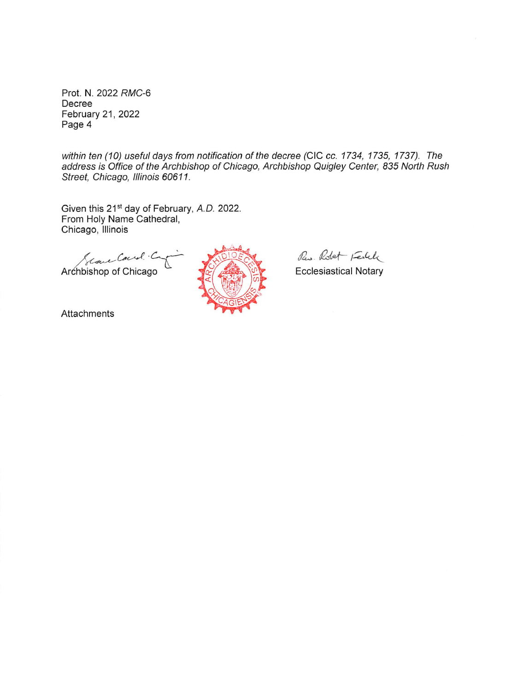Prot. N. 2022 RMC-6 Decree February 21, 2022 Page 4

within ten (10) useful days from notification of the decree (CIC cc. 1734, 1735, 1737). The address is Office of the Archbishop of Chicago, Archbishop Quigley Center, 835 North Rush Street, Chicago, Illinois 60611.

Given this 21<sup>st</sup> day of February, A.D. 2022. From Holy Name Cathedral, Chicago, Illinois

Archbishop of Chicago



Res. Robert Festele

**Ecclesiastical Notary** 

Attachments